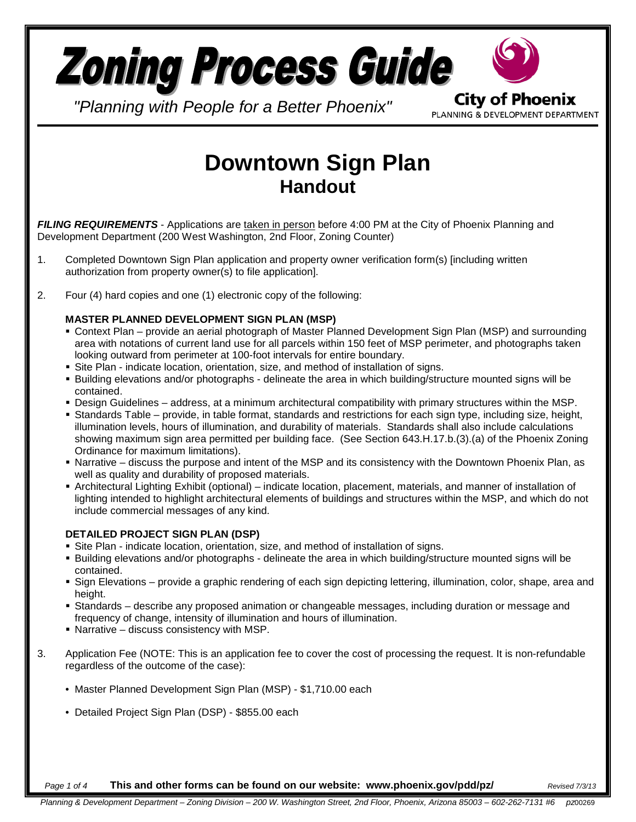

*"Planning with People for a Better Phoenix"*

PLANNING & DEVELOPMENT DEPARTMENT

# **Downtown Sign Plan Handout**

*FILING REQUIREMENTS* - Applications are taken in person before 4:00 PM at the City of Phoenix Planning and Development Department (200 West Washington, 2nd Floor, Zoning Counter)

- 1. Completed Downtown Sign Plan application and property owner verification form(s) [including written authorization from property owner(s) to file application].
- 2. Four (4) hard copies and one (1) electronic copy of the following:

#### **MASTER PLANNED DEVELOPMENT SIGN PLAN (MSP)**

- Context Plan provide an aerial photograph of Master Planned Development Sign Plan (MSP) and surrounding area with notations of current land use for all parcels within 150 feet of MSP perimeter, and photographs taken looking outward from perimeter at 100-foot intervals for entire boundary.
- Site Plan indicate location, orientation, size, and method of installation of signs.
- Building elevations and/or photographs delineate the area in which building/structure mounted signs will be contained.
- Design Guidelines address, at a minimum architectural compatibility with primary structures within the MSP.
- Standards Table provide, in table format, standards and restrictions for each sign type, including size, height, illumination levels, hours of illumination, and durability of materials. Standards shall also include calculations showing maximum sign area permitted per building face. (See Section 643.H.17.b.(3).(a) of the Phoenix Zoning Ordinance for maximum limitations).
- Narrative discuss the purpose and intent of the MSP and its consistency with the Downtown Phoenix Plan, as well as quality and durability of proposed materials.
- Architectural Lighting Exhibit (optional) indicate location, placement, materials, and manner of installation of lighting intended to highlight architectural elements of buildings and structures within the MSP, and which do not include commercial messages of any kind.

#### **DETAILED PROJECT SIGN PLAN (DSP)**

- Site Plan indicate location, orientation, size, and method of installation of signs.
- Building elevations and/or photographs delineate the area in which building/structure mounted signs will be contained.
- Sign Elevations provide a graphic rendering of each sign depicting lettering, illumination, color, shape, area and height.
- Standards describe any proposed animation or changeable messages, including duration or message and frequency of change, intensity of illumination and hours of illumination.
- Narrative discuss consistency with MSP.
- 3. Application Fee (NOTE: This is an application fee to cover the cost of processing the request. It is non-refundable regardless of the outcome of the case):
	- Master Planned Development Sign Plan (MSP) \$1,710.00 each
	- Detailed Project Sign Plan (DSP) \$855.00 each

*Page 1 of 4* **This and other forms can be found on our website: www.phoenix.gov/pdd/pz/** *Revised 7/3/13*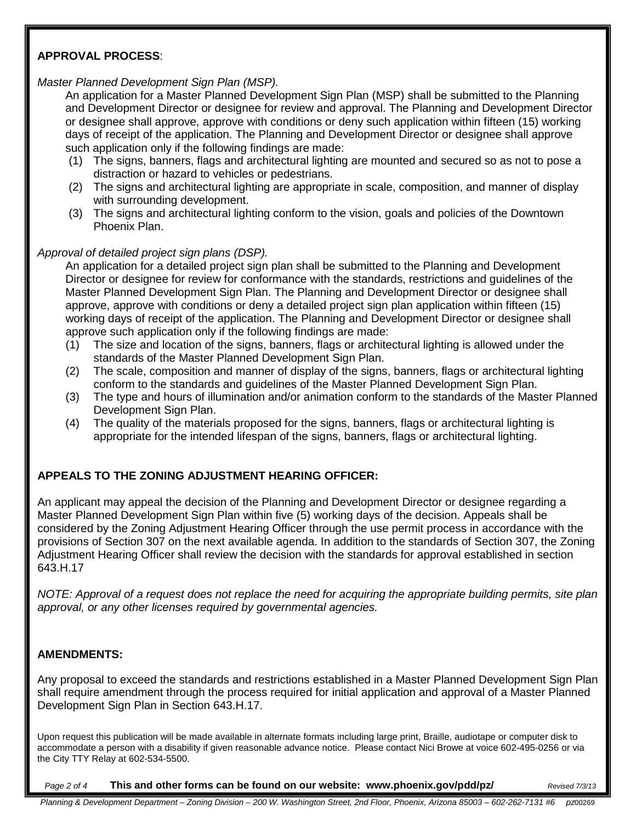## **APPROVAL PROCESS**:

#### *Master Planned Development Sign Plan (MSP).*

An application for a Master Planned Development Sign Plan (MSP) shall be submitted to the Planning and Development Director or designee for review and approval. The Planning and Development Director or designee shall approve, approve with conditions or deny such application within fifteen (15) working days of receipt of the application. The Planning and Development Director or designee shall approve such application only if the following findings are made:

- (1) The signs, banners, flags and architectural lighting are mounted and secured so as not to pose a distraction or hazard to vehicles or pedestrians.
- (2) The signs and architectural lighting are appropriate in scale, composition, and manner of display with surrounding development.
- (3) The signs and architectural lighting conform to the vision, goals and policies of the Downtown Phoenix Plan.

#### *Approval of detailed project sign plans (DSP).*

An application for a detailed project sign plan shall be submitted to the Planning and Development Director or designee for review for conformance with the standards, restrictions and guidelines of the Master Planned Development Sign Plan. The Planning and Development Director or designee shall approve, approve with conditions or deny a detailed project sign plan application within fifteen (15) working days of receipt of the application. The Planning and Development Director or designee shall approve such application only if the following findings are made:

- (1) The size and location of the signs, banners, flags or architectural lighting is allowed under the standards of the Master Planned Development Sign Plan.
- (2) The scale, composition and manner of display of the signs, banners, flags or architectural lighting conform to the standards and guidelines of the Master Planned Development Sign Plan.
- (3) The type and hours of illumination and/or animation conform to the standards of the Master Planned Development Sign Plan.
- (4) The quality of the materials proposed for the signs, banners, flags or architectural lighting is appropriate for the intended lifespan of the signs, banners, flags or architectural lighting.

# **APPEALS TO THE ZONING ADJUSTMENT HEARING OFFICER:**

An applicant may appeal the decision of the Planning and Development Director or designee regarding a Master Planned Development Sign Plan within five (5) working days of the decision. Appeals shall be considered by the Zoning Adjustment Hearing Officer through the use permit process in accordance with the provisions of Section 307 on the next available agenda. In addition to the standards of Section 307, the Zoning Adjustment Hearing Officer shall review the decision with the standards for approval established in section 643.H.17

*NOTE: Approval of a request does not replace the need for acquiring the appropriate building permits, site plan approval, or any other licenses required by governmental agencies.* 

#### **AMENDMENTS:**

Any proposal to exceed the standards and restrictions established in a Master Planned Development Sign Plan shall require amendment through the process required for initial application and approval of a Master Planned Development Sign Plan in Section 643.H.17.

Upon request this publication will be made available in alternate formats including large print, Braille, audiotape or computer disk to accommodate a person with a disability if given reasonable advance notice. Please contact Nici Browe at voice 602-495-0256 or via the City TTY Relay at 602-534-5500.

*Page 2 of 4* **This and other forms can be found on our website: www.phoenix.gov/pdd/pz/** *Revised 7/3/13*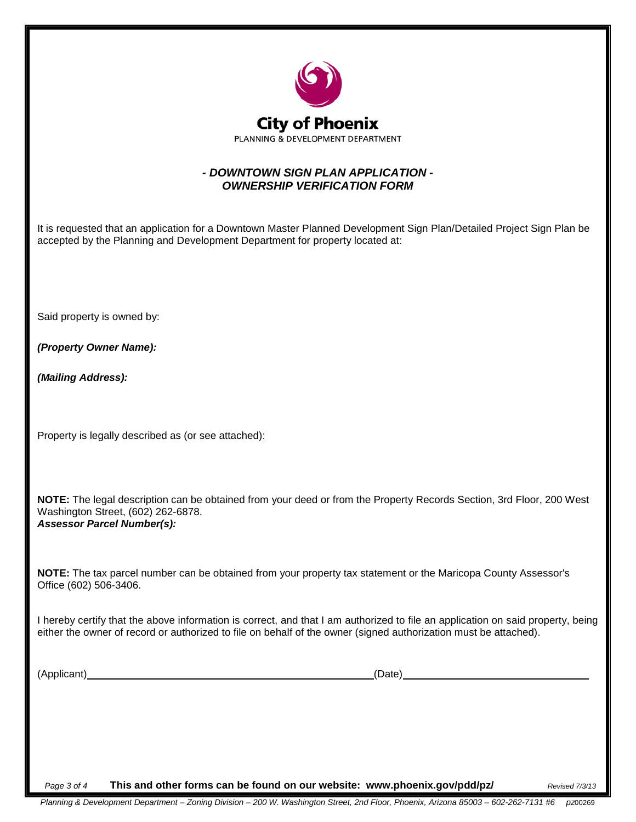

## *- DOWNTOWN SIGN PLAN APPLICATION - OWNERSHIP VERIFICATION FORM*

It is requested that an application for a Downtown Master Planned Development Sign Plan/Detailed Project Sign Plan be accepted by the Planning and Development Department for property located at:

Said property is owned by:

*(Property Owner Name):*

*(Mailing Address):*

Property is legally described as (or see attached):

**NOTE:** The legal description can be obtained from your deed or from the Property Records Section, 3rd Floor, 200 West Washington Street, (602) 262-6878. *Assessor Parcel Number(s):*

**NOTE:** The tax parcel number can be obtained from your property tax statement or the Maricopa County Assessor's Office (602) 506-3406.

I hereby certify that the above information is correct, and that I am authorized to file an application on said property, being either the owner of record or authorized to file on behalf of the owner (signed authorization must be attached).

(Applicant) (Date)

*Page 3 of 4* **This and other forms can be found on our website: www.phoenix.gov/pdd/pz/** *Revised 7/3/13*